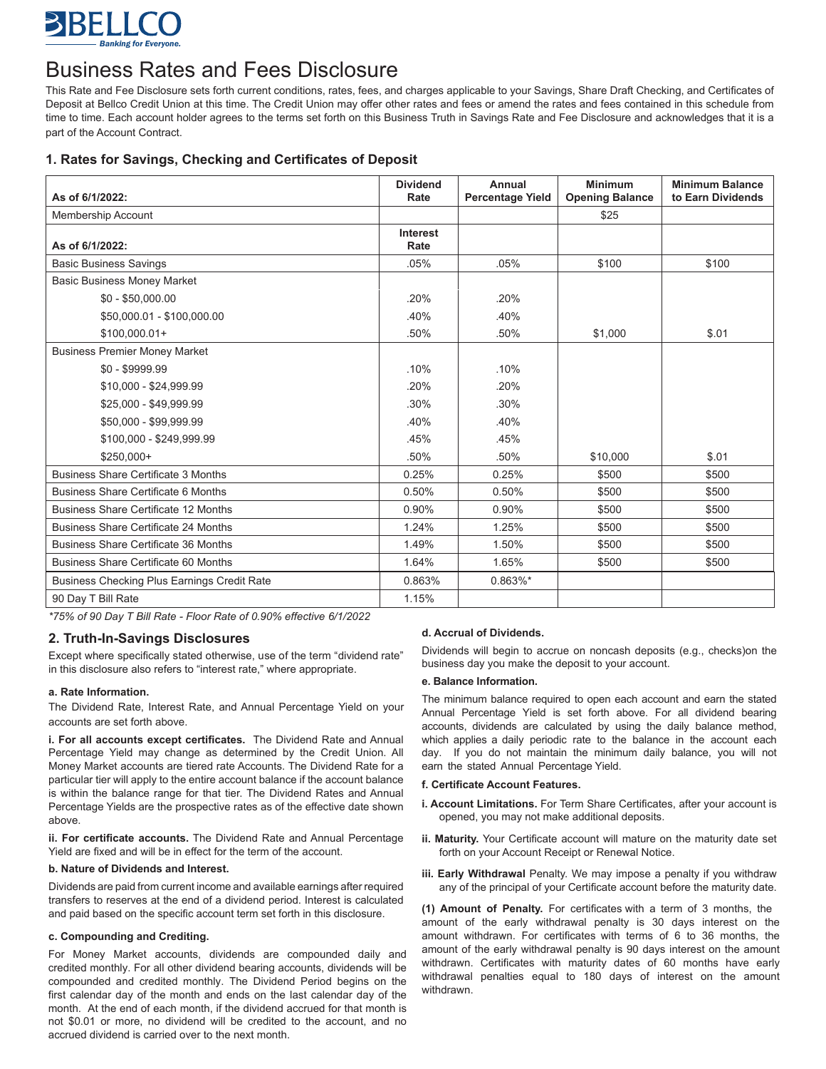

# Business Rates and Fees Disclosure

This Rate and Fee Disclosure sets forth current conditions, rates, fees, and charges applicable to your Savings, Share Draft Checking, and Certificates of Deposit at Bellco Credit Union at this time. The Credit Union may offer other rates and fees or amend the rates and fees contained in this schedule from time to time. Each account holder agrees to the terms set forth on this Business Truth in Savings Rate and Fee Disclosure and acknowledges that it is a part of the Account Contract.

# **1. Rates for Savings, Checking and Certificates of Deposit**

| As of 6/1/2022:                                    | <b>Dividend</b><br>Rate | Annual<br><b>Percentage Yield</b> | <b>Minimum</b><br><b>Opening Balance</b> | <b>Minimum Balance</b><br>to Earn Dividends |
|----------------------------------------------------|-------------------------|-----------------------------------|------------------------------------------|---------------------------------------------|
| <b>Membership Account</b>                          |                         |                                   | \$25                                     |                                             |
| As of 6/1/2022:                                    | Interest<br>Rate        |                                   |                                          |                                             |
| <b>Basic Business Savings</b>                      | .05%                    | .05%                              | \$100                                    | \$100                                       |
| <b>Basic Business Money Market</b>                 |                         |                                   |                                          |                                             |
| $$0 - $50,000.00$                                  | .20%                    | .20%                              |                                          |                                             |
| \$50,000.01 - \$100,000.00                         | .40%                    | .40%                              |                                          |                                             |
| $$100,000.01+$                                     | .50%                    | .50%                              | \$1,000                                  | \$.01                                       |
| <b>Business Premier Money Market</b>               |                         |                                   |                                          |                                             |
| $$0 - $9999.99$                                    | .10%                    | .10%                              |                                          |                                             |
| \$10,000 - \$24,999.99                             | .20%                    | .20%                              |                                          |                                             |
| \$25,000 - \$49,999.99                             | .30%                    | .30%                              |                                          |                                             |
| \$50,000 - \$99,999.99                             | .40%                    | .40%                              |                                          |                                             |
| \$100,000 - \$249,999.99                           | .45%                    | .45%                              |                                          |                                             |
| $$250,000+$                                        | .50%                    | .50%                              | \$10,000                                 | \$.01                                       |
| <b>Business Share Certificate 3 Months</b>         | 0.25%                   | 0.25%                             | \$500                                    | \$500                                       |
| Business Share Certificate 6 Months                | 0.50%                   | 0.50%                             | \$500                                    | \$500                                       |
| <b>Business Share Certificate 12 Months</b>        | 0.90%                   | 0.90%                             | \$500                                    | \$500                                       |
| <b>Business Share Certificate 24 Months</b>        | 1.24%                   | 1.25%                             | \$500                                    | \$500                                       |
| <b>Business Share Certificate 36 Months</b>        | 1.49%                   | 1.50%                             | \$500                                    | \$500                                       |
| <b>Business Share Certificate 60 Months</b>        | 1.64%                   | 1.65%                             | \$500                                    | \$500                                       |
| <b>Business Checking Plus Earnings Credit Rate</b> | 0.863%                  | $0.863\%$ *                       |                                          |                                             |
| 90 Day T Bill Rate                                 | 1.15%                   |                                   |                                          |                                             |

*\*75% of 90 Day T Bill Rate - Floor Rate of 0.90% effective 6/1/2022*

# **2. Truth-In-Savings Disclosures**

Except where specifically stated otherwise, use of the term "dividend rate" in this disclosure also refers to "interest rate," where appropriate.

### **a. Rate Information.**

The Dividend Rate, Interest Rate, and Annual Percentage Yield on your accounts are set forth above.

**i. For all accounts except certificates.** The Dividend Rate and Annual Percentage Yield may change as determined by the Credit Union. All Money Market accounts are tiered rate Accounts. The Dividend Rate for a particular tier will apply to the entire account balance if the account balance is within the balance range for that tier. The Dividend Rates and Annual Percentage Yields are the prospective rates as of the effective date shown above.

**ii. For certificate accounts.** The Dividend Rate and Annual Percentage Yield are fixed and will be in effect for the term of the account.

### **b. Nature of Dividends and Interest.**

Dividends are paid from current income and available earnings after required transfers to reserves at the end of a dividend period. Interest is calculated and paid based on the specific account term set forth in this disclosure.

## **c. Compounding and Crediting.**

For Money Market accounts, dividends are compounded daily and credited monthly. For all other dividend bearing accounts, dividends will be compounded and credited monthly. The Dividend Period begins on the first calendar day of the month and ends on the last calendar day of the month. At the end of each month, if the dividend accrued for that month is not \$0.01 or more, no dividend will be credited to the account, and no accrued dividend is carried over to the next month.

### **d. Accrual of Dividends.**

Dividends will begin to accrue on noncash deposits (e.g., checks)on the business day you make the deposit to your account.

#### **e. Balance Information.**

The minimum balance required to open each account and earn the stated Annual Percentage Yield is set forth above. For all dividend bearing accounts, dividends are calculated by using the daily balance method, which applies a daily periodic rate to the balance in the account each day. If you do not maintain the minimum daily balance, you will not earn the stated Annual Percentage Yield.

#### **f. Certificate Account Features.**

- **i. Account Limitations.** For Term Share Certificates, after your account is opened, you may not make additional deposits.
- **ii. Maturity.** Your Certificate account will mature on the maturity date set forth on your Account Receipt or Renewal Notice.
- **iii. Early Withdrawal** Penalty. We may impose a penalty if you withdraw any of the principal of your Certificate account before the maturity date.

**(1) Amount of Penalty.** For certificates with a term of 3 months, the amount of the early withdrawal penalty is 30 days interest on the amount withdrawn. For certificates with terms of 6 to 36 months, the amount of the early withdrawal penalty is 90 days interest on the amount withdrawn. Certificates with maturity dates of 60 months have early withdrawal penalties equal to 180 days of interest on the amount withdrawn.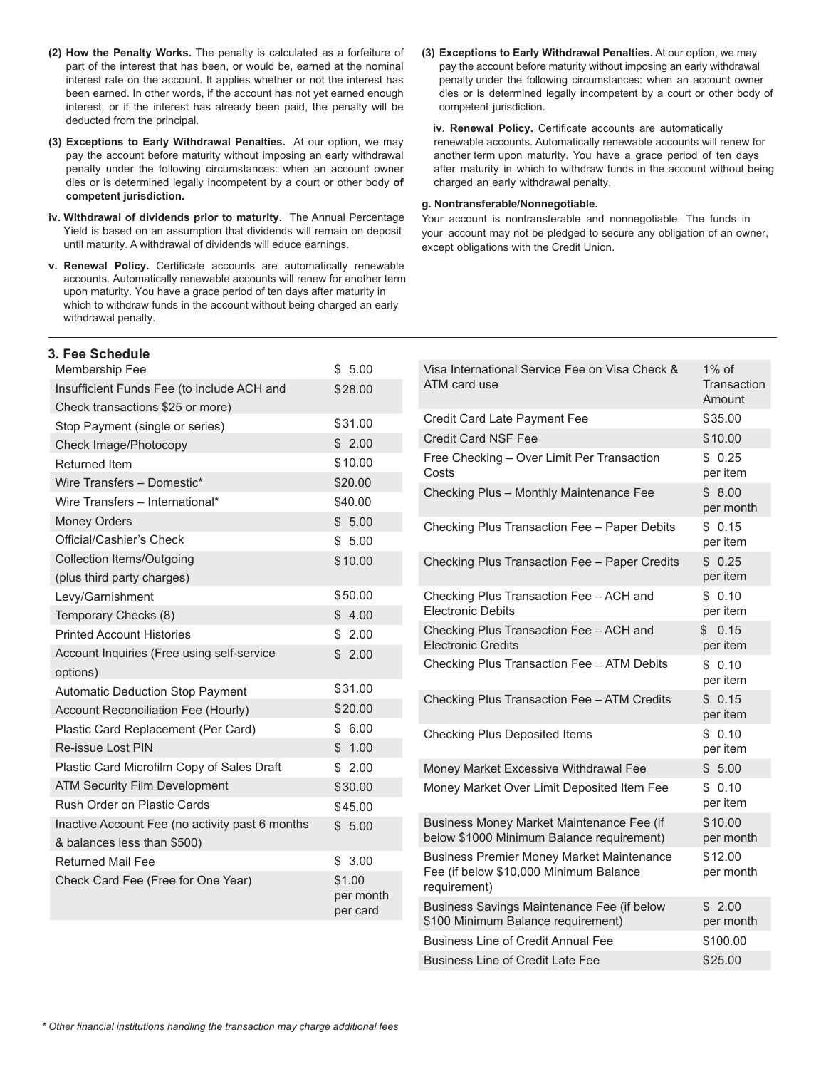- **(2) How the Penalty Works.** The penalty is calculated as a forfeiture of part of the interest that has been, or would be, earned at the nominal interest rate on the account. It applies whether or not the interest has been earned. In other words, if the account has not yet earned enough interest, or if the interest has already been paid, the penalty will be deducted from the principal.
- **(3) Exceptions to Early Withdrawal Penalties.** At our option, we may pay the account before maturity without imposing an early withdrawal penalty under the following circumstances: when an account owner dies or is determined legally incompetent by a court or other body **of competent jurisdiction.**
- **iv. Withdrawal of dividends prior to maturity.** The Annual Percentage Yield is based on an assumption that dividends will remain on deposit until maturity. A withdrawal of dividends will educe earnings.
- **v. Renewal Policy.** Certificate accounts are automatically renewable accounts. Automatically renewable accounts will renew for another term upon maturity. You have a grace period of ten days after maturity in which to withdraw funds in the account without being charged an early withdrawal penalty.

**(3) Exceptions to Early Withdrawal Penalties.** At our option, we may pay the account before maturity without imposing an early withdrawal penalty under the following circumstances: when an account owner dies or is determined legally incompetent by a court or other body of competent jurisdiction.

**iv. Renewal Policy.** Certificate accounts are automatically renewable accounts. Automatically renewable accounts will renew for another term upon maturity. You have a grace period of ten days after maturity in which to withdraw funds in the account without being charged an early withdrawal penalty.

#### **g. Nontransferable/Nonnegotiable.**

Your account is nontransferable and nonnegotiable. The funds in your account may not be pledged to secure any obligation of an owner, except obligations with the Credit Union.

| 3. Fee Schedule                                 |                       |
|-------------------------------------------------|-----------------------|
| Membership Fee                                  | \$5.00                |
| Insufficient Funds Fee (to include ACH and      | \$28.00               |
| Check transactions \$25 or more)                |                       |
| Stop Payment (single or series)                 | \$31.00               |
| Check Image/Photocopy                           | \$2.00                |
| <b>Returned Item</b>                            | \$10.00               |
| Wire Transfers - Domestic*                      | \$20.00               |
| Wire Transfers - International*                 | \$40.00               |
| <b>Money Orders</b>                             | \$5.00                |
| Official/Cashier's Check                        | \$5.00                |
| <b>Collection Items/Outgoing</b>                | \$10.00               |
| (plus third party charges)                      |                       |
| Levy/Garnishment                                | \$50.00               |
| Temporary Checks (8)                            | 4.00<br>\$            |
| <b>Printed Account Histories</b>                | \$2.00                |
| Account Inquiries (Free using self-service      | \$2.00                |
| options)                                        |                       |
| <b>Automatic Deduction Stop Payment</b>         | \$31.00               |
| Account Reconciliation Fee (Hourly)             | \$20.00               |
| Plastic Card Replacement (Per Card)             | \$6.00                |
| Re-issue Lost PIN                               | \$1.00                |
| Plastic Card Microfilm Copy of Sales Draft      | \$2.00                |
| <b>ATM Security Film Development</b>            | \$30.00               |
| Rush Order on Plastic Cards                     | \$45.00               |
| Inactive Account Fee (no activity past 6 months | \$5.00                |
| & balances less than \$500)                     |                       |
| <b>Returned Mail Fee</b>                        | 3.00<br>\$            |
| Check Card Fee (Free for One Year)              | \$1.00                |
|                                                 | per month<br>per card |
|                                                 |                       |

| Visa International Service Fee on Visa Check &<br>ATM card use                                             | $1\%$ of<br>Transaction<br>Amount |
|------------------------------------------------------------------------------------------------------------|-----------------------------------|
| Credit Card Late Payment Fee                                                                               | \$35.00                           |
| <b>Credit Card NSF Fee</b>                                                                                 | \$10.00                           |
| Free Checking - Over Limit Per Transaction<br>Costs                                                        | \$0.25<br>per item                |
| Checking Plus - Monthly Maintenance Fee                                                                    | \$8.00<br>per month               |
| Checking Plus Transaction Fee - Paper Debits                                                               | \$0.15<br>per item                |
| Checking Plus Transaction Fee - Paper Credits                                                              | \$0.25<br>per item                |
| Checking Plus Transaction Fee - ACH and<br><b>Electronic Debits</b>                                        | \$0.10<br>per item                |
| Checking Plus Transaction Fee - ACH and<br><b>Electronic Credits</b>                                       | \$0.15<br>per item                |
| Checking Plus Transaction Fee - ATM Debits                                                                 | \$0.10<br>per item                |
| Checking Plus Transaction Fee - ATM Credits                                                                | \$0.15<br>per item                |
| <b>Checking Plus Deposited Items</b>                                                                       | \$0.10<br>per item                |
| Money Market Excessive Withdrawal Fee                                                                      | \$5.00                            |
| Money Market Over Limit Deposited Item Fee                                                                 | \$0.10<br>per item                |
| Business Money Market Maintenance Fee (if<br>below \$1000 Minimum Balance requirement)                     | \$10.00<br>per month              |
| <b>Business Premier Money Market Maintenance</b><br>Fee (if below \$10,000 Minimum Balance<br>requirement) | \$12.00<br>per month              |
| Business Savings Maintenance Fee (if below<br>\$100 Minimum Balance requirement)                           | \$2.00<br>per month               |
| <b>Business Line of Credit Annual Fee</b>                                                                  | \$100.00                          |
| <b>Business Line of Credit Late Fee</b>                                                                    | \$25.00                           |